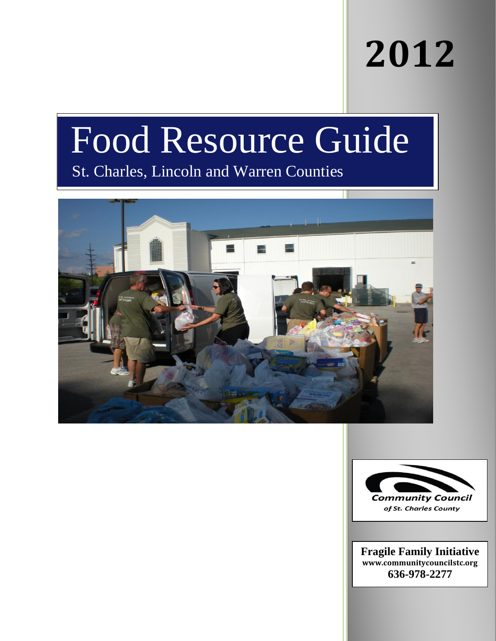# **2012**

# Food Resource Guide

## St. Charles, Lincoln and Warren Counties





**Fragile Family Initiative [www.communitycouncilstc.org](http://www.communitycouncilstc.org/) 636-978-2277**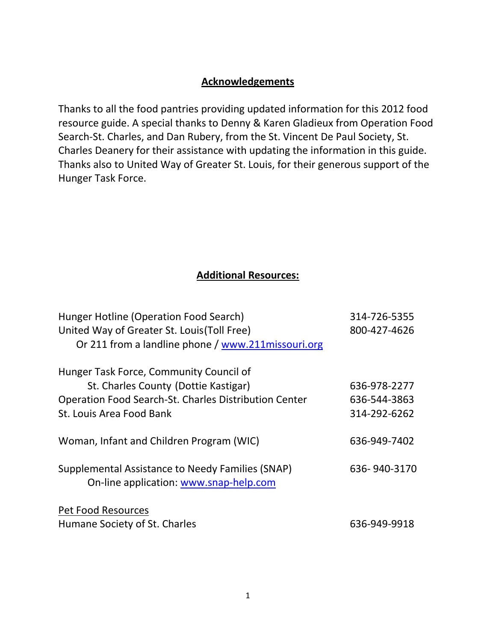### **Acknowledgements**

Thanks to all the food pantries providing updated information for this 2012 food resource guide. A special thanks to Denny & Karen Gladieux from Operation Food Search-St. Charles, and Dan Rubery, from the St. Vincent De Paul Society, St. Charles Deanery for their assistance with updating the information in this guide. Thanks also to United Way of Greater St. Louis, for their generous support of the Hunger Task Force.

### **Additional Resources:**

| Hunger Hotline (Operation Food Search)                                                     | 314-726-5355 |
|--------------------------------------------------------------------------------------------|--------------|
| United Way of Greater St. Louis (Toll Free)                                                | 800-427-4626 |
| Or 211 from a landline phone / www.211 missouri.org                                        |              |
| Hunger Task Force, Community Council of                                                    |              |
| St. Charles County (Dottie Kastigar)                                                       | 636-978-2277 |
| <b>Operation Food Search-St. Charles Distribution Center</b>                               | 636-544-3863 |
| St. Louis Area Food Bank                                                                   | 314-292-6262 |
| Woman, Infant and Children Program (WIC)                                                   | 636-949-7402 |
| Supplemental Assistance to Needy Families (SNAP)<br>On-line application: www.snap-help.com | 636-940-3170 |
| <b>Pet Food Resources</b>                                                                  |              |
| Humane Society of St. Charles                                                              | 636-949-9918 |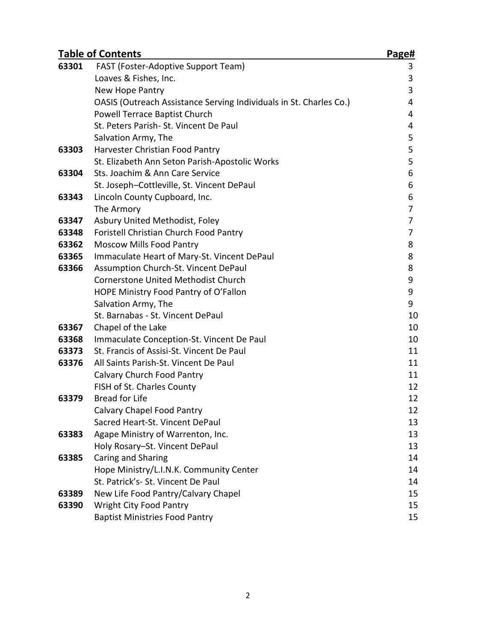| <b>Table of Contents</b> |                                                                    | Page# |
|--------------------------|--------------------------------------------------------------------|-------|
| 63301                    | FAST (Foster-Adoptive Support Team)                                | 3     |
|                          | Loaves & Fishes, Inc.                                              | 3     |
|                          | New Hope Pantry                                                    | 3     |
|                          | OASIS (Outreach Assistance Serving Individuals in St. Charles Co.) | 4     |
|                          | Powell Terrace Baptist Church                                      | 4     |
|                          | St. Peters Parish- St. Vincent De Paul                             | 4     |
|                          | Salvation Army, The                                                | 5     |
| 63303                    | Harvester Christian Food Pantry                                    | 5     |
|                          | St. Elizabeth Ann Seton Parish-Apostolic Works                     | 5     |
| 63304                    | Sts. Joachim & Ann Care Service                                    | 6     |
|                          | St. Joseph-Cottleville, St. Vincent DePaul                         | 6     |
| 63343                    | Lincoln County Cupboard, Inc.                                      | 6     |
|                          | The Armory                                                         | 7     |
| 63347                    | Asbury United Methodist, Foley                                     | 7     |
| 63348                    | Foristell Christian Church Food Pantry                             | 7     |
| 63362                    | <b>Moscow Mills Food Pantry</b>                                    | 8     |
| 63365                    | Immaculate Heart of Mary-St. Vincent DePaul                        | 8     |
| 63366                    | Assumption Church-St. Vincent DePaul                               | 8     |
|                          | <b>Cornerstone United Methodist Church</b>                         | 9     |
|                          | HOPE Ministry Food Pantry of O'Fallon                              | 9     |
|                          | Salvation Army, The                                                | 9     |
|                          | St. Barnabas - St. Vincent DePaul                                  | 10    |
| 63367                    | Chapel of the Lake                                                 | 10    |
| 63368                    | Immaculate Conception-St. Vincent De Paul                          | 10    |
| 63373                    | St. Francis of Assisi-St. Vincent De Paul                          | 11    |
| 63376                    | All Saints Parish-St. Vincent De Paul                              | 11    |
|                          | Calvary Church Food Pantry                                         | 11    |
|                          | FISH of St. Charles County                                         | 12    |
| 63379                    | <b>Bread for Life</b>                                              | 12    |
|                          | Calvary Chapel Food Pantry                                         | 12    |
|                          | Sacred Heart-St. Vincent DePaul                                    | 13    |
| 63383                    | Agape Ministry of Warrenton, Inc.                                  | 13    |
|                          | Holy Rosary-St. Vincent DePaul                                     | 13    |
| 63385                    | Caring and Sharing                                                 | 14    |
|                          | Hope Ministry/L.I.N.K. Community Center                            | 14    |
|                          | St. Patrick's- St. Vincent De Paul                                 | 14    |
| 63389                    | New Life Food Pantry/Calvary Chapel                                | 15    |
| 63390                    | Wright City Food Pantry                                            | 15    |
|                          | <b>Baptist Ministries Food Pantry</b>                              | 15    |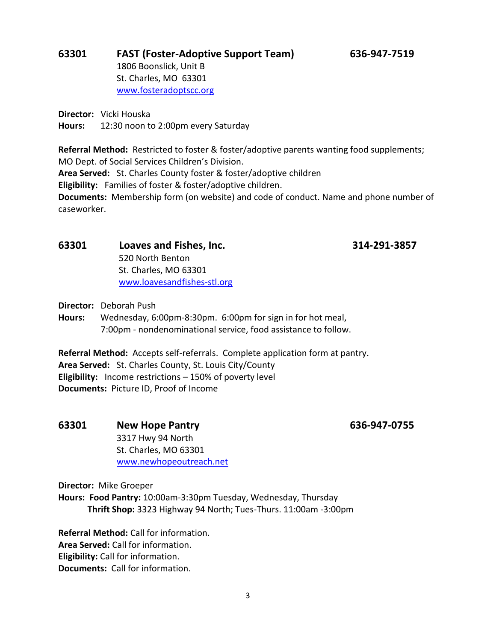### **63301 FAST (Foster-Adoptive Support Team) 636-947-7519** 1806 Boonslick, Unit B St. Charles, MO 63301 [www.fosteradoptscc.org](http://www.fosteradoptscc.org/)

**Director:** Vicki Houska

**Hours:** 12:30 noon to 2:00pm every Saturday

**Referral Method:** Restricted to foster & foster/adoptive parents wanting food supplements; MO Dept. of Social Services Children's Division.

**Area Served:** St. Charles County foster & foster/adoptive children

**Eligibility:** Families of foster & foster/adoptive children.

**Documents:** Membership form (on website) and code of conduct. Name and phone number of caseworker.

### **63301 Loaves and Fishes, Inc. 314-291-3857** 520 North Benton

St. Charles, MO 63301 [www.loavesandfishes-stl.org](http://www.loavesandfishes-stl.org/)

**Director:** Deborah Push

**Hours:** Wednesday, 6:00pm-8:30pm. 6:00pm for sign in for hot meal, 7:00pm - nondenominational service, food assistance to follow.

**Referral Method:** Accepts self-referrals. Complete application form at pantry. **Area Served:** St. Charles County, St. Louis City/County **Eligibility:** Income restrictions – 150% of poverty level **Documents:** Picture ID, Proof of Income

**63301 New Hope Pantry 636-947-0755** 3317 Hwy 94 North St. Charles, MO 63301 [www.newhopeoutreach.net](http://www.newhopeoutreach.net/)

**Director:** Mike Groeper

**Hours: Food Pantry:** 10:00am-3:30pm Tuesday, Wednesday, Thursday **Thrift Shop:** 3323 Highway 94 North; Tues-Thurs. 11:00am -3:00pm

**Referral Method:** Call for information. **Area Served:** Call for information. **Eligibility:** Call for information. **Documents:** Call for information.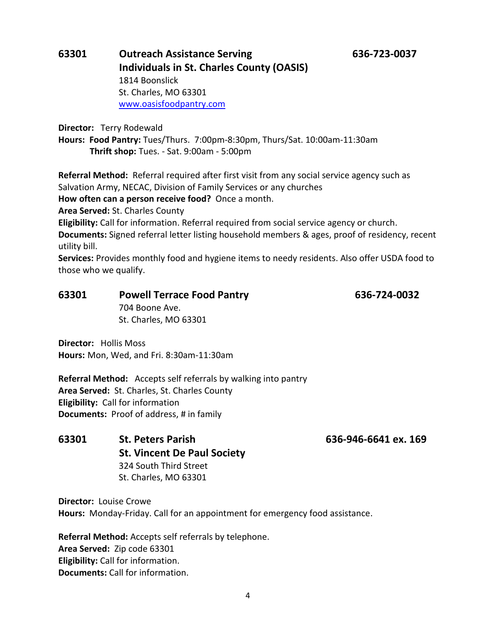### **63301 Outreach Assistance Serving 636-723-0037 Individuals in St. Charles County (OASIS)** 1814 Boonslick St. Charles, MO 63301 [www.oasisfoodpantry.com](http://www.oasisfoodpantry.com/)

**Director:** Terry Rodewald

**Hours: Food Pantry:** Tues/Thurs. 7:00pm-8:30pm, Thurs/Sat. 10:00am-11:30am **Thrift shop:** Tues. - Sat. 9:00am - 5:00pm

**Referral Method:** Referral required after first visit from any social service agency such as Salvation Army, NECAC, Division of Family Services or any churches

**How often can a person receive food?** Once a month.

**Area Served:** St. Charles County

**Eligibility:** Call for information. Referral required from social service agency or church.

**Documents:** Signed referral letter listing household members & ages, proof of residency, recent utility bill.

**Services:** Provides monthly food and hygiene items to needy residents. Also offer USDA food to those who we qualify.

### **63301 Powell Terrace Food Pantry 636-724-0032** 704 Boone Ave.

St. Charles, MO 63301

**Director:** Hollis Moss **Hours:** Mon, Wed, and Fri. 8:30am-11:30am

**Referral Method:** Accepts self referrals by walking into pantry **Area Served:** St. Charles, St. Charles County **Eligibility:** Call for information **Documents:** Proof of address, # in family

**63301 St. Peters Parish 636-946-6641 ex. 169 St. Vincent De Paul Society** 324 South Third Street St. Charles, MO 63301

**Director:** Louise Crowe **Hours:** Monday-Friday. Call for an appointment for emergency food assistance.

**Referral Method:** Accepts self referrals by telephone. **Area Served:** Zip code 63301 **Eligibility:** Call for information. **Documents:** Call for information.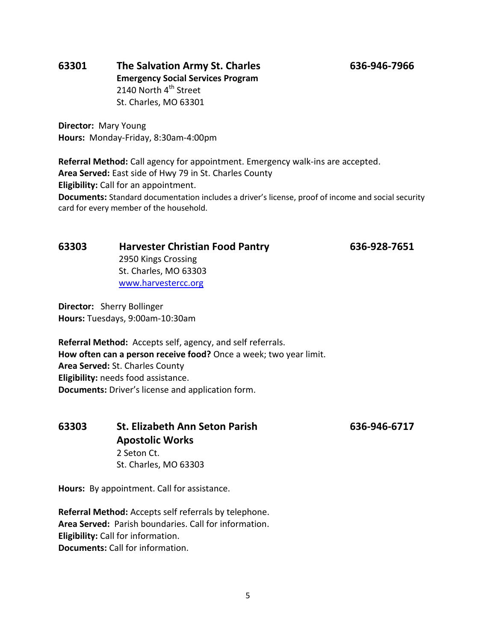### **63301 The Salvation Army St. Charles 636-946-7966 Emergency Social Services Program** 2140 North 4<sup>th</sup> Street St. Charles, MO 63301

**Director:** Mary Young **Hours:** Monday-Friday, 8:30am-4:00pm

**Referral Method:** Call agency for appointment. Emergency walk-ins are accepted. **Area Served:** East side of Hwy 79 in St. Charles County **Eligibility:** Call for an appointment. **Documents:** Standard documentation includes a driver's license, proof of income and social security card for every member of the household.

**63303 Harvester Christian Food Pantry 636-928-7651**

2950 Kings Crossing St. Charles, MO 63303 [www.harvestercc.org](http://www.harvestercc.org/)

**Director:** Sherry Bollinger **Hours:** Tuesdays, 9:00am-10:30am

**Referral Method:** Accepts self, agency, and self referrals. **How often can a person receive food?** Once a week; two year limit. **Area Served:** St. Charles County **Eligibility:** needs food assistance. **Documents:** Driver's license and application form.

**63303 St. Elizabeth Ann Seton Parish 636-946-6717 Apostolic Works**  2 Seton Ct. St. Charles, MO 63303

**Hours:** By appointment. Call for assistance.

**Referral Method:** Accepts self referrals by telephone. **Area Served:** Parish boundaries. Call for information. **Eligibility:** Call for information. **Documents:** Call for information.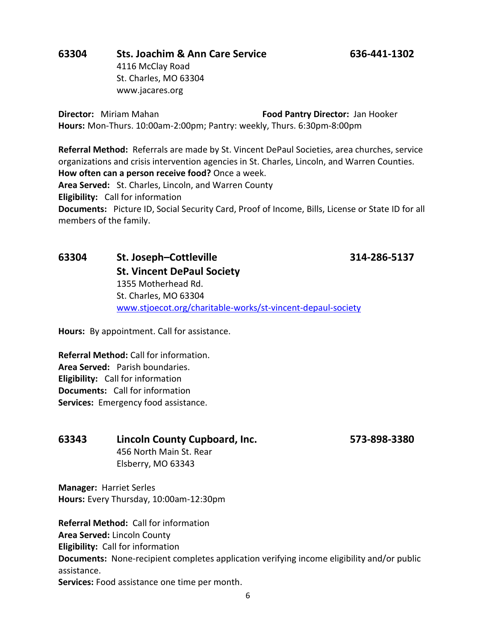## **63304 Sts. Joachim & Ann Care Service 636-441-1302**

4116 McClay Road St. Charles, MO 63304 www.jacares.org

**Director:** Miriam Mahan **Food Pantry Director:** Jan Hooker **Hours:** Mon-Thurs. 10:00am-2:00pm; Pantry: weekly, Thurs. 6:30pm-8:00pm

**Referral Method:** Referrals are made by St. Vincent DePaul Societies, area churches, service organizations and crisis intervention agencies in St. Charles, Lincoln, and Warren Counties. **How often can a person receive food?** Once a week.

**Area Served:** St. Charles, Lincoln, and Warren County

**Eligibility:** Call for information

**Documents:** Picture ID, Social Security Card, Proof of Income, Bills, License or State ID for all members of the family.

### **63304 St. Joseph–Cottleville 314-286-5137 St. Vincent DePaul Society** 1355 Motherhead Rd. St. Charles, MO 63304 [www.stjoecot.org/charitable-works/st-vincent-depaul-society](http://www.stjoecot.org/charitable-works/st-vincent-depaul-society)

**Hours:** By appointment. Call for assistance.

**Referral Method:** Call for information. **Area Served:** Parish boundaries. **Eligibility:** Call for information **Documents:** Call for information **Services:** Emergency food assistance.

### **63343 Lincoln County Cupboard, Inc. 573-898-3380**

456 North Main St. Rear Elsberry, MO 63343

**Manager:** Harriet Serles **Hours:** Every Thursday, 10:00am-12:30pm

**Referral Method:** Call for information **Area Served:** Lincoln County **Eligibility:** Call for information **Documents:** None-recipient completes application verifying income eligibility and/or public assistance. **Services:** Food assistance one time per month.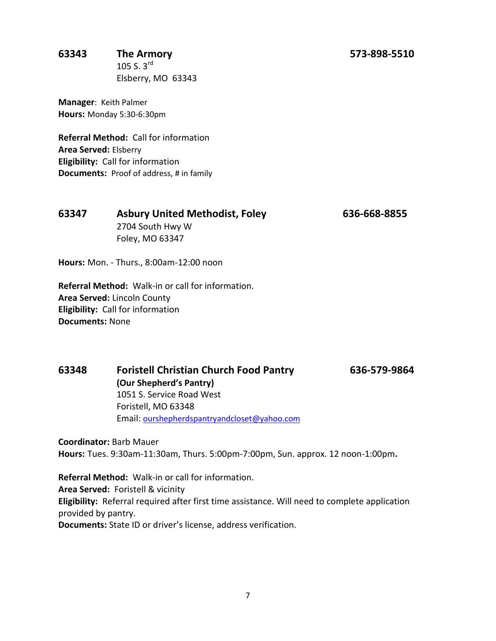### **63343 The Armory 573-898-5510**

105 S.  $3^{rd}$ Elsberry, MO 63343

**Manager**: Keith Palmer **Hours:** Monday 5:30-6:30pm

**Referral Method:** Call for information **Area Served:** Elsberry **Eligibility:** Call for information **Documents:** Proof of address, # in family

**63347 Asbury United Methodist, Foley 636-668-8855** 2704 South Hwy W Foley, MO 63347

**Hours:** Mon. - Thurs., 8:00am-12:00 noon

**Referral Method:** Walk-in or call for information. **Area Served:** Lincoln County **Eligibility:** Call for information **Documents:** None

**63348 Foristell Christian Church Food Pantry 636-579-9864 (Our Shepherd's Pantry)** 1051 S. Service Road West Foristell, MO 63348 Email: [ourshepherdspantryandcloset@yahoo.com](mailto:ourshepherdspantryandcloset@yahoo.com)

**Coordinator:** Barb Mauer **Hours:** Tues. 9:30am-11:30am, Thurs. 5:00pm-7:00pm, Sun. approx. 12 noon-1:00pm**.**

**Referral Method:** Walk-in or call for information. **Area Served:** Foristell & vicinity **Eligibility:** Referral required after first time assistance. Will need to complete application provided by pantry. **Documents:** State ID or driver's license, address verification.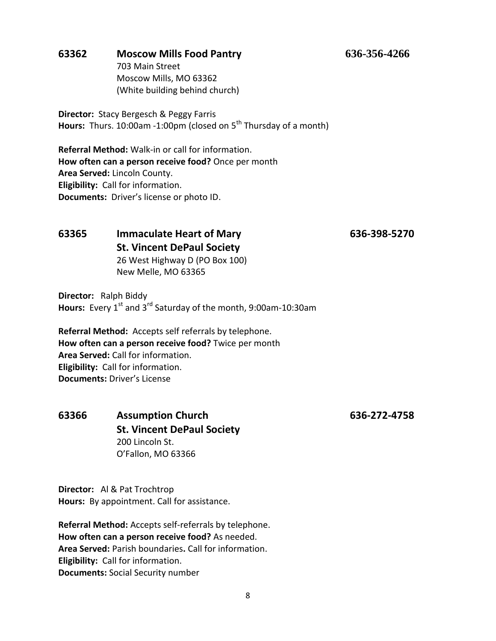### **63362 Moscow Mills Food Pantry 636-356-4266**

703 Main Street Moscow Mills, MO 63362 (White building behind church)

**Director:** Stacy Bergesch & Peggy Farris **Hours:** Thurs. 10:00am -1:00pm (closed on 5<sup>th</sup> Thursday of a month)

**Referral Method:** Walk-in or call for information. **How often can a person receive food?** Once per month **Area Served:** Lincoln County. **Eligibility:** Call for information. **Documents:** Driver's license or photo ID.

### **63365 Immaculate Heart of Mary 636-398-5270 St. Vincent DePaul Society** 26 West Highway D (PO Box 100)

New Melle, MO 63365

**Director:** Ralph Biddy **Hours:** Every 1<sup>st</sup> and 3<sup>rd</sup> Saturday of the month, 9:00am-10:30am

**Referral Method:** Accepts self referrals by telephone. **How often can a person receive food?** Twice per month **Area Served:** Call for information. **Eligibility:** Call for information. **Documents:** Driver's License

**63366 Assumption Church 636-272-4758 St. Vincent DePaul Society**  200 Lincoln St. O'Fallon, MO 63366

**Director:** Al & Pat Trochtrop **Hours:** By appointment. Call for assistance.

**Referral Method:** Accepts self-referrals by telephone. **How often can a person receive food?** As needed. **Area Served:** Parish boundaries**.** Call for information. **Eligibility:** Call for information. **Documents:** Social Security number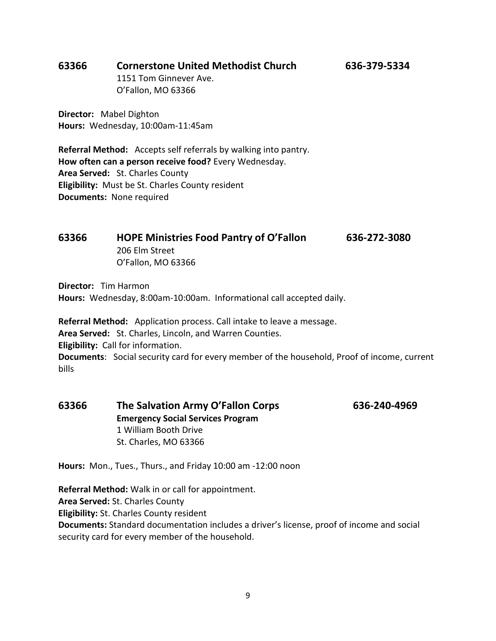### **63366 Cornerstone United Methodist Church 636-379-5334**

1151 Tom Ginnever Ave. O'Fallon, MO 63366

**Director:** Mabel Dighton **Hours:** Wednesday, 10:00am-11:45am

**Referral Method:** Accepts self referrals by walking into pantry. **How often can a person receive food?** Every Wednesday. **Area Served:** St. Charles County **Eligibility:** Must be St. Charles County resident **Documents:** None required

| 63366 | <b>HOPE Ministries Food Pantry of O'Fallon</b> | 636-272-3080 |
|-------|------------------------------------------------|--------------|
|       | 206 Elm Street                                 |              |
|       | O'Fallon, MO 63366                             |              |

**Director:** Tim Harmon **Hours:** Wednesday, 8:00am-10:00am. Informational call accepted daily.

**Referral Method:** Application process. Call intake to leave a message. **Area Served:** St. Charles, Lincoln, and Warren Counties. **Eligibility:** Call for information. **Documents**: Social security card for every member of the household, Proof of income, current bills

| 63366 | The Salvation Army O'Fallon Corps        | 636-240-4969 |
|-------|------------------------------------------|--------------|
|       | <b>Emergency Social Services Program</b> |              |
|       | 1 William Booth Drive                    |              |
|       | St. Charles, MO 63366                    |              |

**Hours:** Mon., Tues., Thurs., and Friday 10:00 am -12:00 noon

**Referral Method:** Walk in or call for appointment. **Area Served:** St. Charles County **Eligibility:** St. Charles County resident **Documents:** Standard documentation includes a driver's license, proof of income and social security card for every member of the household.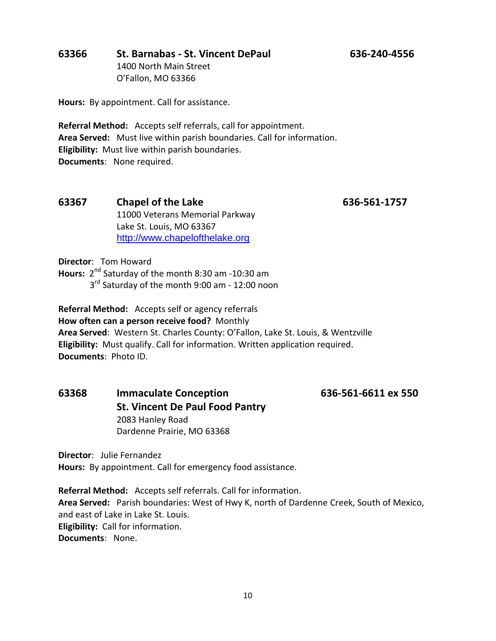### **63366 St. Barnabas - St. Vincent DePaul 636-240-4556** 1400 North Main Street

O'Fallon, MO 63366

**Hours:** By appointment. Call for assistance.

**Referral Method:** Accepts self referrals, call for appointment. **Area Served:** Must live within parish boundaries. Call for information. **Eligibility:** Must live within parish boundaries. **Documents**: None required.

### **63367 Chapel of the Lake 636-561-1757** 11000 Veterans Memorial Parkway Lake St. Louis, MO 63367 [http://www.chapelofthelake.org](http://www.chapelofthelake.org/)

**Director**: Tom Howard

**Hours:** 2<sup>nd</sup> Saturday of the month 8:30 am -10:30 am

3<sup>rd</sup> Saturday of the month 9:00 am - 12:00 noon

**Referral Method:** Accepts self or agency referrals **How often can a person receive food?** Monthly **Area Served**: Western St. Charles County: O'Fallon, Lake St. Louis, & Wentzville **Eligibility:** Must qualify. Call for information. Written application required. **Documents**: Photo ID.

### **63368 Immaculate Conception 636-561-6611 ex 550 St. Vincent De Paul Food Pantry** 2083 Hanley Road Dardenne Prairie, MO 63368

**Director**: Julie Fernandez

**Hours:** By appointment. Call for emergency food assistance.

**Referral Method:** Accepts self referrals. Call for information. **Area Served:** Parish boundaries: West of Hwy K, north of Dardenne Creek, South of Mexico, and east of Lake in Lake St. Louis. **Eligibility:** Call for information. **Documents**: None.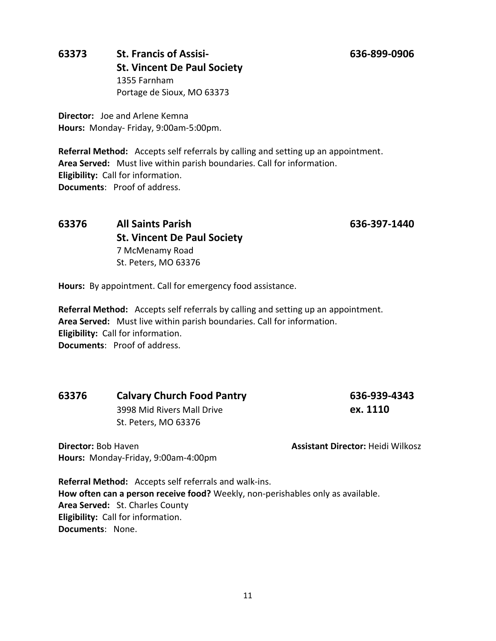### **63373 St. Francis of Assisi- 636-899-0906 St. Vincent De Paul Society**  1355 Farnham Portage de Sioux, MO 63373

**Director:** Joe and Arlene Kemna **Hours:** Monday- Friday, 9:00am-5:00pm.

**Referral Method:** Accepts self referrals by calling and setting up an appointment. **Area Served:** Must live within parish boundaries. Call for information. **Eligibility:** Call for information. **Documents**: Proof of address.

### **63376 All Saints Parish 636-397-1440 St. Vincent De Paul Society**  7 McMenamy Road St. Peters, MO 63376

**Hours:** By appointment. Call for emergency food assistance.

**Referral Method:** Accepts self referrals by calling and setting up an appointment. **Area Served:** Must live within parish boundaries. Call for information. **Eligibility:** Call for information. **Documents**: Proof of address.

### **63376 Calvary Church Food Pantry 636-939-4343**

**Hours:** Monday-Friday, 9:00am-4:00pm

3998 Mid Rivers Mall Drive **ex. 1110** St. Peters, MO 63376

**Director:** Bob Haven **Assistant Director:** Heidi Wilkosz

**Referral Method:** Accepts self referrals and walk-ins. **How often can a person receive food?** Weekly, non-perishables only as available. **Area Served:** St. Charles County **Eligibility:** Call for information. **Documents**: None.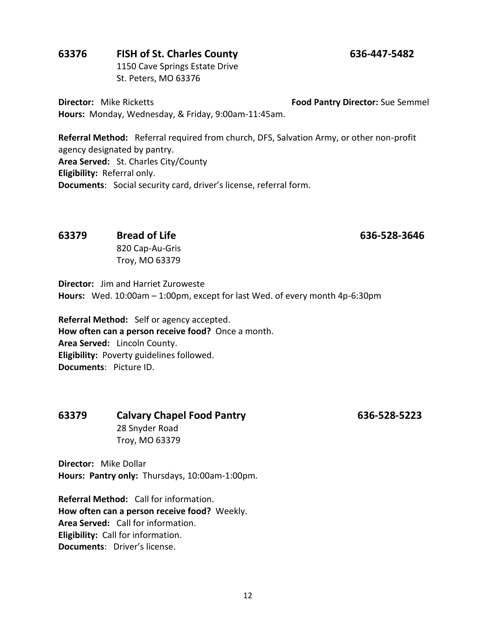### **63376 FISH of St. Charles County 636-447-5482**

1150 Cave Springs Estate Drive St. Peters, MO 63376

**Director:** Mike Ricketts **Food Pantry Director:** Sue Semmel **Hours:** Monday, Wednesday, & Friday, 9:00am-11:45am.

**Referral Method:** Referral required from church, DFS, Salvation Army, or other non-profit agency designated by pantry. **Area Served:** St. Charles City/County **Eligibility:** Referral only. **Documents**: Social security card, driver's license, referral form.

### **63379 Bread of Life 636-528-3646**

820 Cap-Au-Gris Troy, MO 63379

**Director:** Jim and Harriet Zuroweste **Hours:** Wed. 10:00am – 1:00pm, except for last Wed. of every month 4p-6:30pm

**Referral Method:** Self or agency accepted. **How often can a person receive food?** Once a month. **Area Served:** Lincoln County. **Eligibility:** Poverty guidelines followed. **Documents**: Picture ID.

### **63379 Calvary Chapel Food Pantry 636-528-5223** 28 Snyder Road Troy, MO 63379

**Director:** Mike Dollar **Hours: Pantry only:** Thursdays, 10:00am-1:00pm.

**Referral Method:** Call for information. **How often can a person receive food?** Weekly. **Area Served:** Call for information. **Eligibility:** Call for information. **Documents**: Driver's license.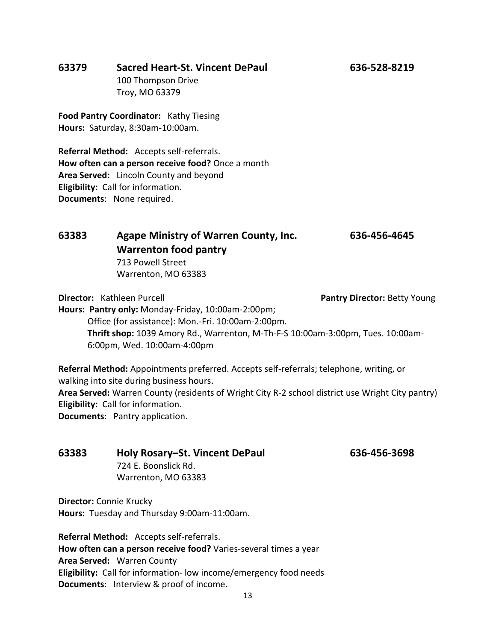### **63379 Sacred Heart-St. Vincent DePaul 636-528-8219**

100 Thompson Drive Troy, MO 63379

**Food Pantry Coordinator:** Kathy Tiesing **Hours:** Saturday, 8:30am-10:00am.

**Referral Method:** Accepts self-referrals. **How often can a person receive food?** Once a month **Area Served:** Lincoln County and beyond **Eligibility:** Call for information. **Documents**: None required.

### **63383 Agape Ministry of Warren County, Inc. 636-456-4645 Warrenton food pantry** 713 Powell Street

Warrenton, MO 63383

**Director:** Kathleen Purcell **Pantry Director:** Betty Young **Hours: Pantry only:** Monday-Friday, 10:00am-2:00pm; Office (for assistance): Mon.-Fri. 10:00am-2:00pm. **Thrift shop:** 1039 Amory Rd., Warrenton, M-Th-F-S 10:00am-3:00pm, Tues. 10:00am-6:00pm, Wed. 10:00am-4:00pm

**Referral Method:** Appointments preferred. Accepts self-referrals; telephone, writing, or walking into site during business hours.

**Area Served:** Warren County (residents of Wright City R-2 school district use Wright City pantry) **Eligibility:** Call for information.

**Documents**: Pantry application.

### **63383 Holy Rosary–St. Vincent DePaul 636-456-3698** 724 E. Boonslick Rd. Warrenton, MO 63383

**Director:** Connie Krucky **Hours:** Tuesday and Thursday 9:00am-11:00am.

**Referral Method:** Accepts self-referrals. **How often can a person receive food?** Varies-several times a year **Area Served:** Warren County **Eligibility:** Call for information- low income/emergency food needs **Documents**: Interview & proof of income.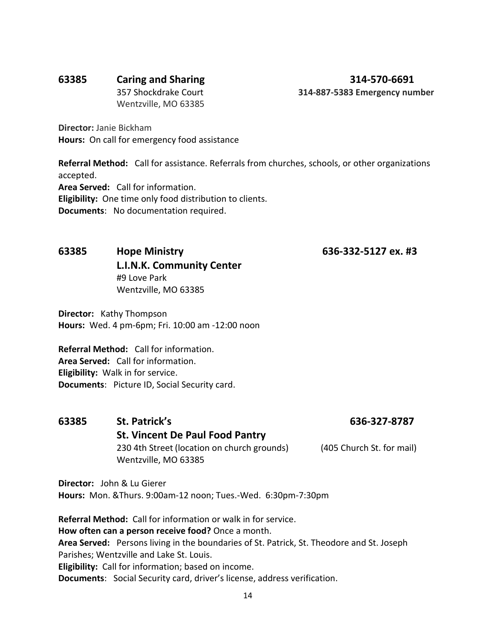### **63385 Caring and Sharing 314-570-6691**

357 Shockdrake Court **314-887-5383 Emergency number** 

Wentzville, MO 63385

**Director:** Janie Bickham **Hours:** On call for emergency food assistance

**Referral Method:** Call for assistance. Referrals from churches, schools, or other organizations accepted. **Area Served:** Call for information. **Eligibility:** One time only food distribution to clients. **Documents**: No documentation required.

### **63385 Hope Ministry 636-332-5127 ex. #3 L.I.N.K. Community Center** #9 Love Park Wentzville, MO 63385

**Director:** Kathy Thompson **Hours:** Wed. 4 pm-6pm; Fri. 10:00 am -12:00 noon

**Referral Method:** Call for information. **Area Served:** Call for information. **Eligibility:** Walk in for service. **Documents**: Picture ID, Social Security card.

### **63385 St. Patrick's 636-327-8787 St. Vincent De Paul Food Pantry** 230 4th Street (location on church grounds) (405 Church St. for mail) Wentzville, MO 63385

**Director:** John & Lu Gierer **Hours:** Mon. &Thurs. 9:00am-12 noon; Tues.-Wed. 6:30pm-7:30pm

**Referral Method:** Call for information or walk in for service. **How often can a person receive food?** Once a month. **Area Served:** Persons living in the boundaries of St. Patrick, St. Theodore and St. Joseph Parishes; Wentzville and Lake St. Louis. **Eligibility:** Call for information; based on income. **Documents**: Social Security card, driver's license, address verification.